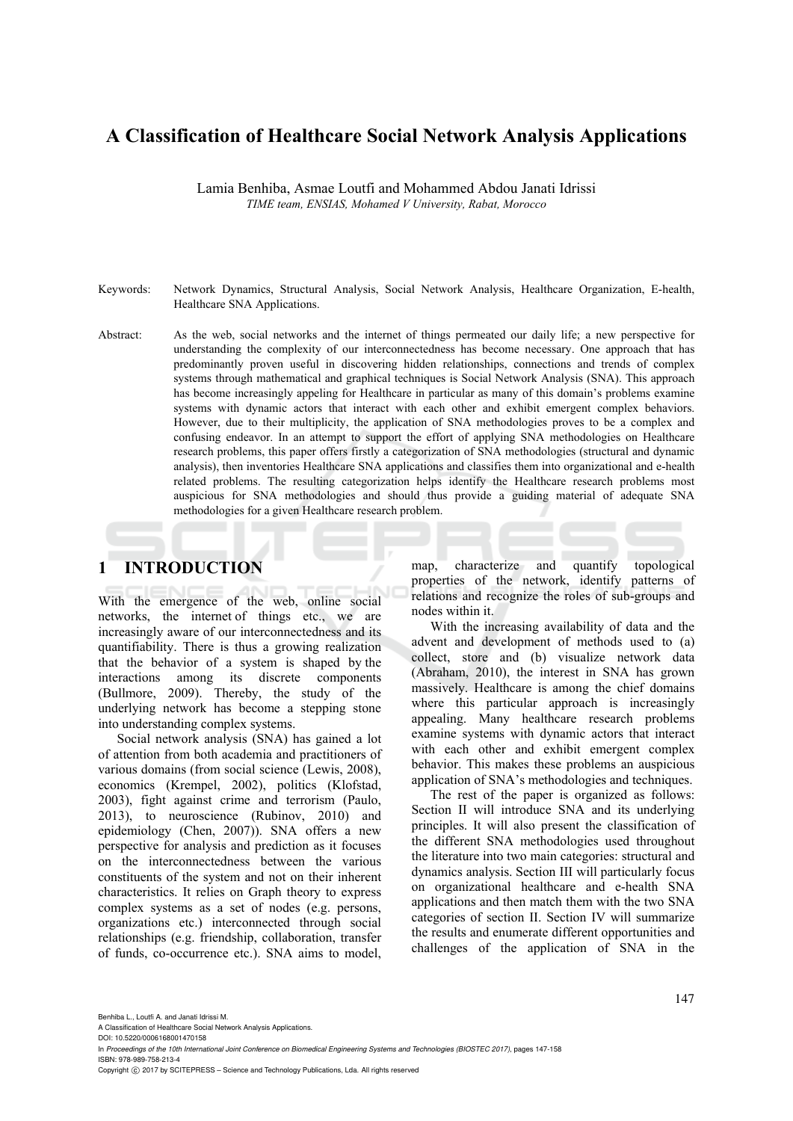# **A Classification of Healthcare Social Network Analysis Applications**

Lamia Benhiba, Asmae Loutfi and Mohammed Abdou Janati Idrissi *TIME team, ENSIAS, Mohamed V University, Rabat, Morocco* 

- Keywords: Network Dynamics, Structural Analysis, Social Network Analysis, Healthcare Organization, E-health, Healthcare SNA Applications.
- Abstract: As the web, social networks and the internet of things permeated our daily life; a new perspective for understanding the complexity of our interconnectedness has become necessary. One approach that has predominantly proven useful in discovering hidden relationships, connections and trends of complex systems through mathematical and graphical techniques is Social Network Analysis (SNA). This approach has become increasingly appeling for Healthcare in particular as many of this domain's problems examine systems with dynamic actors that interact with each other and exhibit emergent complex behaviors. However, due to their multiplicity, the application of SNA methodologies proves to be a complex and confusing endeavor. In an attempt to support the effort of applying SNA methodologies on Healthcare research problems, this paper offers firstly a categorization of SNA methodologies (structural and dynamic analysis), then inventories Healthcare SNA applications and classifies them into organizational and e-health related problems. The resulting categorization helps identify the Healthcare research problems most auspicious for SNA methodologies and should thus provide a guiding material of adequate SNA methodologies for a given Healthcare research problem.

# **1 INTRODUCTION**

With the emergence of the web, online social networks, the internet of things etc., we are increasingly aware of our interconnectedness and its quantifiability. There is thus a growing realization that the behavior of a system is shaped by the interactions among its discrete components (Bullmore, 2009). Thereby, the study of the underlying network has become a stepping stone into understanding complex systems.

Social network analysis (SNA) has gained a lot of attention from both academia and practitioners of various domains (from social science (Lewis, 2008), economics (Krempel, 2002), politics (Klofstad, 2003), fight against crime and terrorism (Paulo, 2013), to neuroscience (Rubinov, 2010) and epidemiology (Chen, 2007)). SNA offers a new perspective for analysis and prediction as it focuses on the interconnectedness between the various constituents of the system and not on their inherent characteristics. It relies on Graph theory to express complex systems as a set of nodes (e.g. persons, organizations etc.) interconnected through social relationships (e.g. friendship, collaboration, transfer of funds, co-occurrence etc.). SNA aims to model,

map, characterize and quantify topological properties of the network, identify patterns of relations and recognize the roles of sub-groups and nodes within it.

With the increasing availability of data and the advent and development of methods used to (a) collect, store and (b) visualize network data (Abraham, 2010), the interest in SNA has grown massively. Healthcare is among the chief domains where this particular approach is increasingly appealing. Many healthcare research problems examine systems with dynamic actors that interact with each other and exhibit emergent complex behavior. This makes these problems an auspicious application of SNA's methodologies and techniques.

The rest of the paper is organized as follows: Section II will introduce SNA and its underlying principles. It will also present the classification of the different SNA methodologies used throughout the literature into two main categories: structural and dynamics analysis. Section III will particularly focus on organizational healthcare and e-health SNA applications and then match them with the two SNA categories of section II. Section IV will summarize the results and enumerate different opportunities and challenges of the application of SNA in the

Benhiba L., Loutfi A. and Janati Idrissi M.

A Classification of Healthcare Social Network Analysis Applications.

DOI: 10.5220/0006168001470158 In *Proceedings of the 10th International Joint Conference on Biomedical Engineering Systems and Technologies (BIOSTEC 2017)*, pages 147-158 ISBN: 978-989-758-213-4

Copyright © 2017 by SCITEPRESS - Science and Technology Publications, Lda. All rights reserved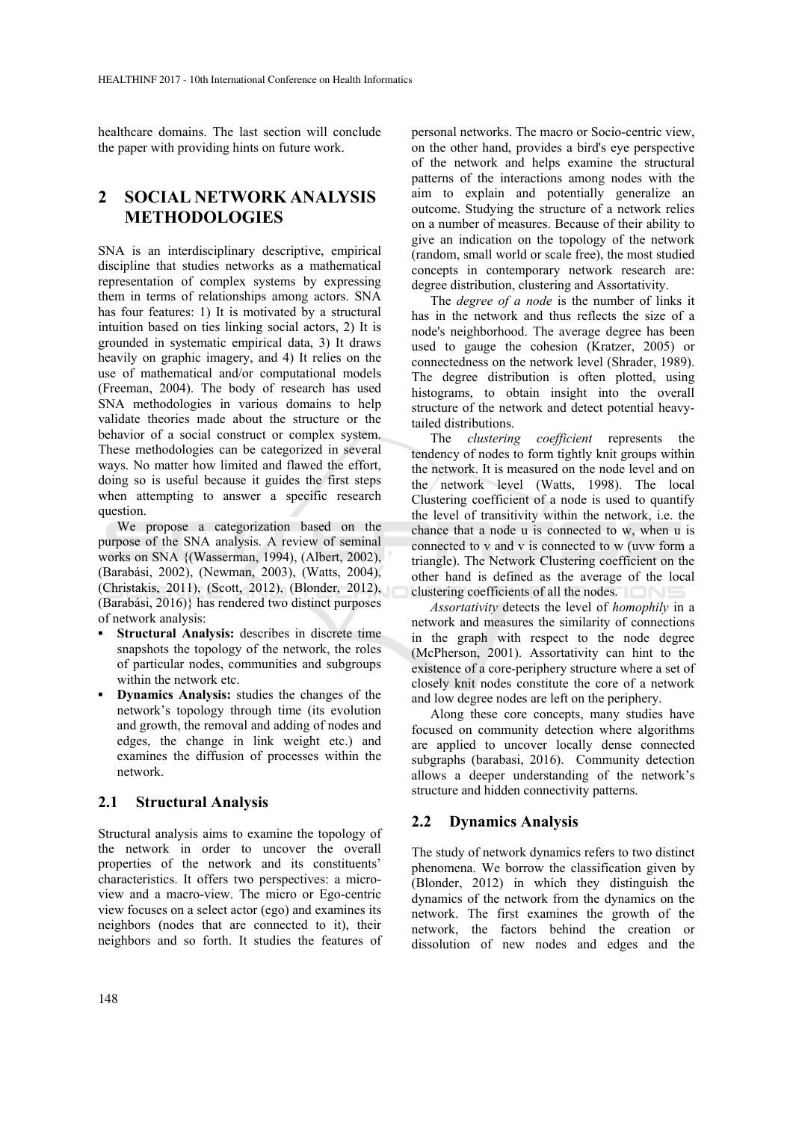healthcare domains. The last section will conclude the paper with providing hints on future work.

# **2 SOCIAL NETWORK ANALYSIS METHODOLOGIES**

SNA is an interdisciplinary descriptive, empirical discipline that studies networks as a mathematical representation of complex systems by expressing them in terms of relationships among actors. SNA has four features: 1) It is motivated by a structural intuition based on ties linking social actors, 2) It is grounded in systematic empirical data, 3) It draws heavily on graphic imagery, and 4) It relies on the use of mathematical and/or computational models (Freeman, 2004). The body of research has used SNA methodologies in various domains to help validate theories made about the structure or the behavior of a social construct or complex system. These methodologies can be categorized in several ways. No matter how limited and flawed the effort, doing so is useful because it guides the first steps when attempting to answer a specific research question.

We propose a categorization based on the purpose of the SNA analysis. A review of seminal works on SNA {(Wasserman, 1994), (Albert, 2002), (Barabási, 2002), (Newman, 2003), (Watts, 2004), (Christakis, 2011), (Scott, 2012), (Blonder, 2012), (Barabási, 2016)} has rendered two distinct purposes of network analysis:

- **Structural Analysis:** describes in discrete time snapshots the topology of the network, the roles of particular nodes, communities and subgroups within the network etc.
- **▪ Dynamics Analysis:** studies the changes of the network's topology through time (its evolution and growth, the removal and adding of nodes and edges, the change in link weight etc.) and examines the diffusion of processes within the network.

## **2.1 Structural Analysis**

Structural analysis aims to examine the topology of the network in order to uncover the overall properties of the network and its constituents' characteristics. It offers two perspectives: a microview and a macro-view. The micro or Ego-centric view focuses on a select actor (ego) and examines its neighbors (nodes that are connected to it), their neighbors and so forth. It studies the features of

personal networks. The macro or Socio-centric view, on the other hand, provides a bird's eye perspective of the network and helps examine the structural patterns of the interactions among nodes with the aim to explain and potentially generalize an outcome. Studying the structure of a network relies on a number of measures. Because of their ability to give an indication on the topology of the network (random, small world or scale free), the most studied concepts in contemporary network research are: degree distribution, clustering and Assortativity.

The *degree of a node* is the number of links it has in the network and thus reflects the size of a node's neighborhood. The average degree has been used to gauge the cohesion (Kratzer, 2005) or connectedness on the network level (Shrader, 1989). The degree distribution is often plotted, using histograms, to obtain insight into the overall structure of the network and detect potential heavytailed distributions.

The *clustering coefficient* represents the tendency of nodes to form tightly knit groups within the network. It is measured on the node level and on the network level (Watts, 1998). The local Clustering coefficient of a node is used to quantify the level of transitivity within the network, i.e. the chance that a node u is connected to w, when u is connected to v and v is connected to w (uvw form a triangle). The Network Clustering coefficient on the other hand is defined as the average of the local clustering coefficients of all the nodes.

*Assortativity* detects the level of *homophily* in a network and measures the similarity of connections in the graph with respect to the node degree (McPherson, 2001). Assortativity can hint to the existence of a core-periphery structure where a set of closely knit nodes constitute the core of a network and low degree nodes are left on the periphery.

Along these core concepts, many studies have focused on community detection where algorithms are applied to uncover locally dense connected subgraphs (barabasi, 2016). Community detection allows a deeper understanding of the network's structure and hidden connectivity patterns.

## **2.2 Dynamics Analysis**

The study of network dynamics refers to two distinct phenomena. We borrow the classification given by (Blonder, 2012) in which they distinguish the dynamics of the network from the dynamics on the network. The first examines the growth of the network, the factors behind the creation or dissolution of new nodes and edges and the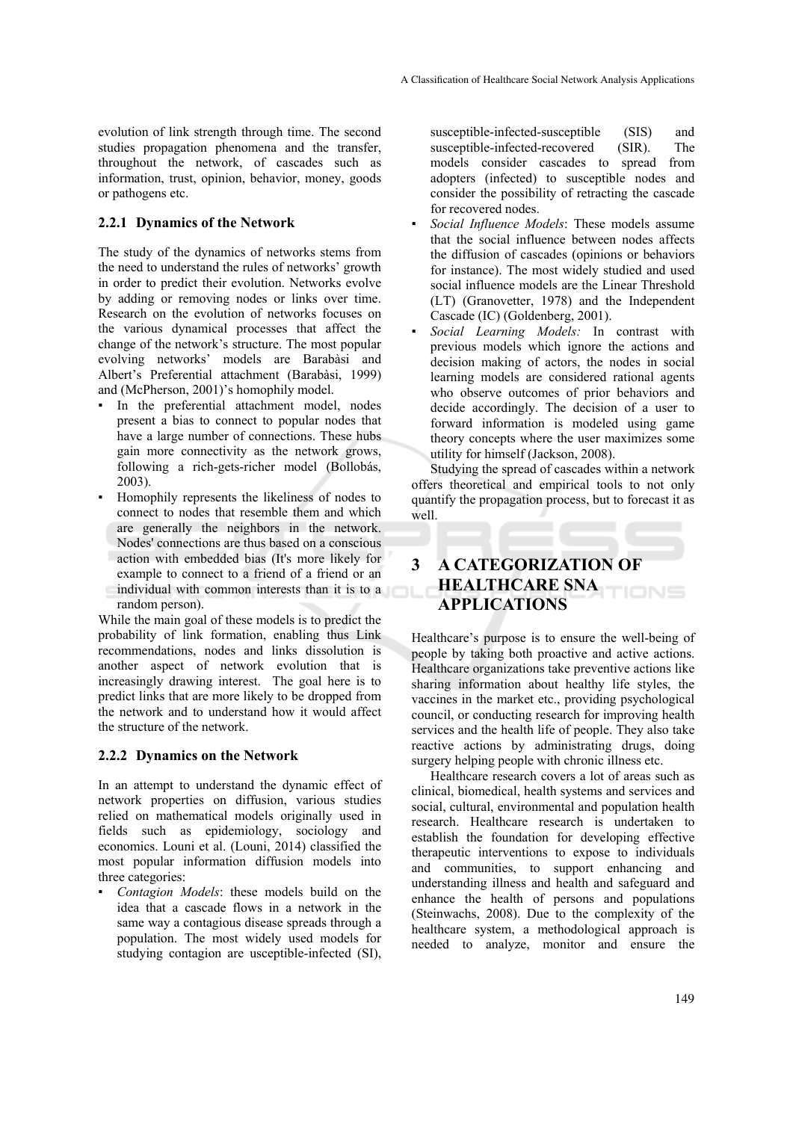evolution of link strength through time. The second studies propagation phenomena and the transfer, throughout the network, of cascades such as information, trust, opinion, behavior, money, goods or pathogens etc.

## **2.2.1 Dynamics of the Network**

The study of the dynamics of networks stems from the need to understand the rules of networks' growth in order to predict their evolution. Networks evolve by adding or removing nodes or links over time. Research on the evolution of networks focuses on the various dynamical processes that affect the change of the network's structure. The most popular evolving networks' models are Barabàsi and Albert's Preferential attachment (Barabàsi, 1999) and (McPherson, 2001)'s homophily model.

- In the preferential attachment model, nodes present a bias to connect to popular nodes that have a large number of connections. These hubs gain more connectivity as the network grows, following a rich-gets-richer model (Bollobás, 2003).
- Homophily represents the likeliness of nodes to connect to nodes that resemble them and which are generally the neighbors in the network. Nodes' connections are thus based on a conscious action with embedded bias (It's more likely for example to connect to a friend of a friend or an individual with common interests than it is to a random person).

While the main goal of these models is to predict the probability of link formation, enabling thus Link recommendations, nodes and links dissolution is another aspect of network evolution that is increasingly drawing interest. The goal here is to predict links that are more likely to be dropped from the network and to understand how it would affect the structure of the network.

## **2.2.2 Dynamics on the Network**

In an attempt to understand the dynamic effect of network properties on diffusion, various studies relied on mathematical models originally used in fields such as epidemiology, sociology and economics. Louni et al. (Louni, 2014) classified the most popular information diffusion models into three categories:

*Contagion Models*: these models build on the idea that a cascade flows in a network in the same way a contagious disease spreads through a population. The most widely used models for studying contagion are usceptible-infected (SI), susceptible-infected-susceptible (SIS) and susceptible-infected-recovered (SIR). The models consider cascades to spread from adopters (infected) to susceptible nodes and consider the possibility of retracting the cascade for recovered nodes.

- Social Influence Models: These models assume that the social influence between nodes affects the diffusion of cascades (opinions or behaviors for instance). The most widely studied and used social influence models are the Linear Threshold (LT) (Granovetter, 1978) and the Independent Cascade (IC) (Goldenberg, 2001).
- *▪ Social Learning Models:* In contrast with previous models which ignore the actions and decision making of actors, the nodes in social learning models are considered rational agents who observe outcomes of prior behaviors and decide accordingly. The decision of a user to forward information is modeled using game theory concepts where the user maximizes some utility for himself (Jackson, 2008).

Studying the spread of cascades within a network offers theoretical and empirical tools to not only quantify the propagation process, but to forecast it as well.

# **3 A CATEGORIZATION OF HEALTHCARE SNA APPLICATIONS**

Healthcare's purpose is to ensure the well-being of people by taking both proactive and active actions. Healthcare organizations take preventive actions like sharing information about healthy life styles, the vaccines in the market etc., providing psychological council, or conducting research for improving health services and the health life of people. They also take reactive actions by administrating drugs, doing surgery helping people with chronic illness etc.

Healthcare research covers a lot of areas such as clinical, biomedical, health systems and services and social, cultural, environmental and population health research. Healthcare research is undertaken to establish the foundation for developing effective therapeutic interventions to expose to individuals and communities, to support enhancing and understanding illness and health and safeguard and enhance the health of persons and populations (Steinwachs, 2008). Due to the complexity of the healthcare system, a methodological approach is needed to analyze, monitor and ensure the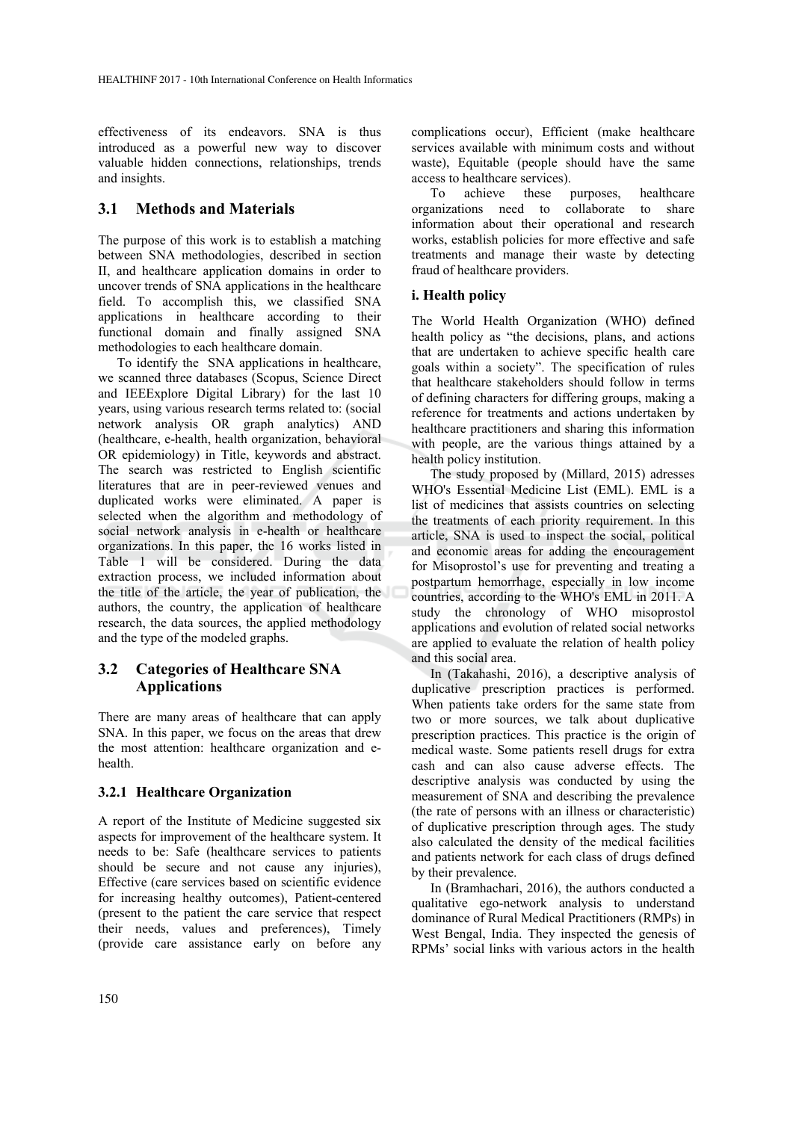effectiveness of its endeavors. SNA is thus introduced as a powerful new way to discover valuable hidden connections, relationships, trends and insights.

## **3.1 Methods and Materials**

The purpose of this work is to establish a matching between SNA methodologies, described in section II, and healthcare application domains in order to uncover trends of SNA applications in the healthcare field. To accomplish this, we classified SNA applications in healthcare according to their functional domain and finally assigned SNA methodologies to each healthcare domain.

To identify the SNA applications in healthcare, we scanned three databases (Scopus, Science Direct and IEEExplore Digital Library) for the last 10 years, using various research terms related to: (social network analysis OR graph analytics) AND (healthcare, e-health, health organization, behavioral OR epidemiology) in Title, keywords and abstract. The search was restricted to English scientific literatures that are in peer-reviewed venues and duplicated works were eliminated. A paper is selected when the algorithm and methodology of social network analysis in e-health or healthcare organizations. In this paper, the 16 works listed in Table 1 will be considered. During the data extraction process, we included information about the title of the article, the year of publication, the authors, the country, the application of healthcare research, the data sources, the applied methodology and the type of the modeled graphs.

# **3.2 Categories of Healthcare SNA Applications**

There are many areas of healthcare that can apply SNA. In this paper, we focus on the areas that drew the most attention: healthcare organization and ehealth.

## **3.2.1 Healthcare Organization**

A report of the Institute of Medicine suggested six aspects for improvement of the healthcare system. It needs to be: Safe (healthcare services to patients should be secure and not cause any injuries), Effective (care services based on scientific evidence for increasing healthy outcomes), Patient-centered (present to the patient the care service that respect their needs, values and preferences), Timely (provide care assistance early on before any complications occur), Efficient (make healthcare services available with minimum costs and without waste), Equitable (people should have the same access to healthcare services).

To achieve these purposes, healthcare organizations need to collaborate to share information about their operational and research works, establish policies for more effective and safe treatments and manage their waste by detecting fraud of healthcare providers.

## **i. Health policy**

The World Health Organization (WHO) defined health policy as "the decisions, plans, and actions that are undertaken to achieve specific health care goals within a society". The specification of rules that healthcare stakeholders should follow in terms of defining characters for differing groups, making a reference for treatments and actions undertaken by healthcare practitioners and sharing this information with people, are the various things attained by a health policy institution.

The study proposed by (Millard, 2015) adresses WHO's Essential Medicine List (EML). EML is a list of medicines that assists countries on selecting the treatments of each priority requirement. In this article, SNA is used to inspect the social, political and economic areas for adding the encouragement for Misoprostol's use for preventing and treating a postpartum hemorrhage, especially in low income countries, according to the WHO's EML in 2011. A study the chronology of WHO misoprostol applications and evolution of related social networks are applied to evaluate the relation of health policy and this social area.

In (Takahashi, 2016), a descriptive analysis of duplicative prescription practices is performed. When patients take orders for the same state from two or more sources, we talk about duplicative prescription practices. This practice is the origin of medical waste. Some patients resell drugs for extra cash and can also cause adverse effects. The descriptive analysis was conducted by using the measurement of SNA and describing the prevalence (the rate of persons with an illness or characteristic) of duplicative prescription through ages. The study also calculated the density of the medical facilities and patients network for each class of drugs defined by their prevalence.

In (Bramhachari, 2016), the authors conducted a qualitative ego-network analysis to understand dominance of Rural Medical Practitioners (RMPs) in West Bengal, India. They inspected the genesis of RPMs' social links with various actors in the health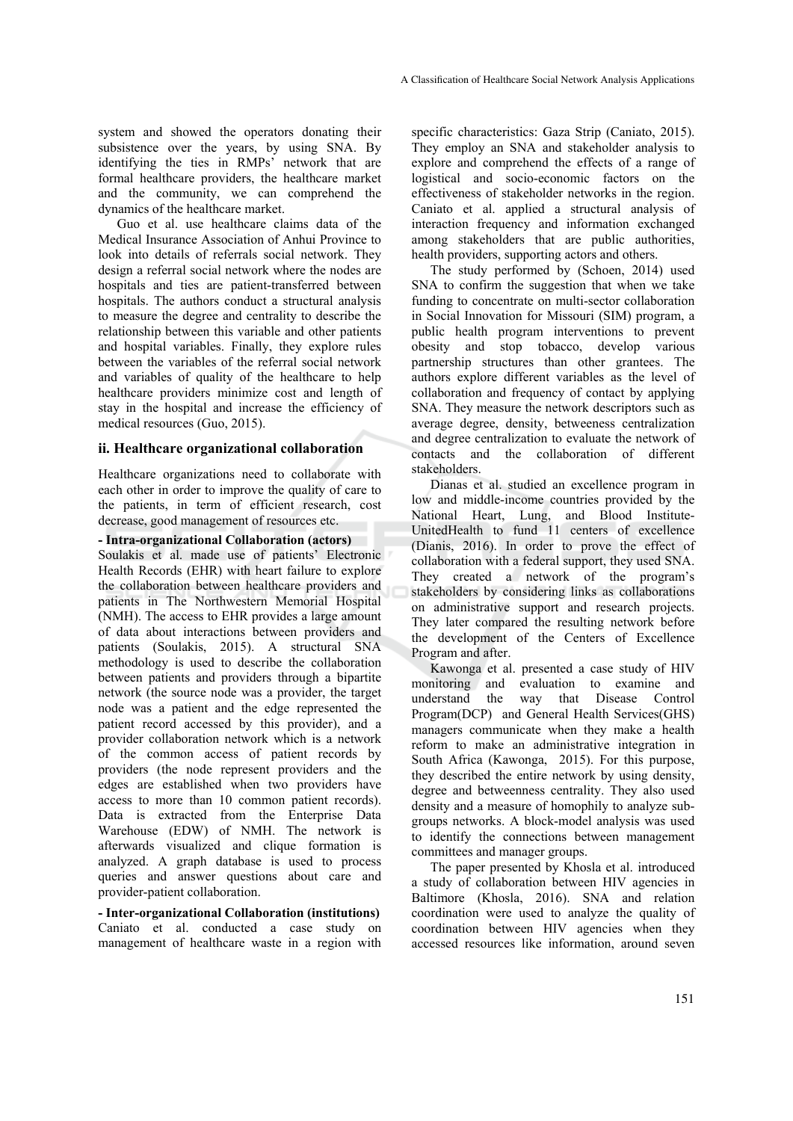system and showed the operators donating their subsistence over the years, by using SNA. By identifying the ties in RMPs' network that are formal healthcare providers, the healthcare market and the community, we can comprehend the dynamics of the healthcare market.

Guo et al. use healthcare claims data of the Medical Insurance Association of Anhui Province to look into details of referrals social network. They design a referral social network where the nodes are hospitals and ties are patient-transferred between hospitals. The authors conduct a structural analysis to measure the degree and centrality to describe the relationship between this variable and other patients and hospital variables. Finally, they explore rules between the variables of the referral social network and variables of quality of the healthcare to help healthcare providers minimize cost and length of stay in the hospital and increase the efficiency of medical resources (Guo, 2015).

#### **ii. Healthcare organizational collaboration**

Healthcare organizations need to collaborate with each other in order to improve the quality of care to the patients, in term of efficient research, cost decrease, good management of resources etc.

#### **- Intra-organizational Collaboration (actors)**

Soulakis et al. made use of patients' Electronic Health Records (EHR) with heart failure to explore the collaboration between healthcare providers and patients in The Northwestern Memorial Hospital (NMH). The access to EHR provides a large amount of data about interactions between providers and patients (Soulakis, 2015). A structural SNA methodology is used to describe the collaboration between patients and providers through a bipartite network (the source node was a provider, the target node was a patient and the edge represented the patient record accessed by this provider), and a provider collaboration network which is a network of the common access of patient records by providers (the node represent providers and the edges are established when two providers have access to more than 10 common patient records). Data is extracted from the Enterprise Data Warehouse (EDW) of NMH. The network is afterwards visualized and clique formation is analyzed. A graph database is used to process queries and answer questions about care and provider-patient collaboration.

**- Inter-organizational Collaboration (institutions)**  Caniato et al. conducted a case study on management of healthcare waste in a region with specific characteristics: Gaza Strip (Caniato, 2015). They employ an SNA and stakeholder analysis to explore and comprehend the effects of a range of logistical and socio-economic factors on the effectiveness of stakeholder networks in the region. Caniato et al. applied a structural analysis of interaction frequency and information exchanged among stakeholders that are public authorities, health providers, supporting actors and others.

The study performed by (Schoen, 2014) used SNA to confirm the suggestion that when we take funding to concentrate on multi-sector collaboration in Social Innovation for Missouri (SIM) program, a public health program interventions to prevent obesity and stop tobacco, develop various partnership structures than other grantees. The authors explore different variables as the level of collaboration and frequency of contact by applying SNA. They measure the network descriptors such as average degree, density, betweeness centralization and degree centralization to evaluate the network of contacts and the collaboration of different stakeholders.

Dianas et al. studied an excellence program in low and middle-income countries provided by the National Heart, Lung, and Blood Institute-UnitedHealth to fund 11 centers of excellence (Dianis, 2016). In order to prove the effect of collaboration with a federal support, they used SNA. They created a network of the program's stakeholders by considering links as collaborations on administrative support and research projects. They later compared the resulting network before the development of the Centers of Excellence Program and after.

Kawonga et al. presented a case study of HIV monitoring and evaluation to examine and understand the way that Disease Control Program(DCP) and General Health Services(GHS) managers communicate when they make a health reform to make an administrative integration in South Africa (Kawonga, 2015). For this purpose, they described the entire network by using density, degree and betweenness centrality. They also used density and a measure of homophily to analyze subgroups networks. A block-model analysis was used to identify the connections between management committees and manager groups.

The paper presented by Khosla et al. introduced a study of collaboration between HIV agencies in Baltimore (Khosla, 2016). SNA and relation coordination were used to analyze the quality of coordination between HIV agencies when they accessed resources like information, around seven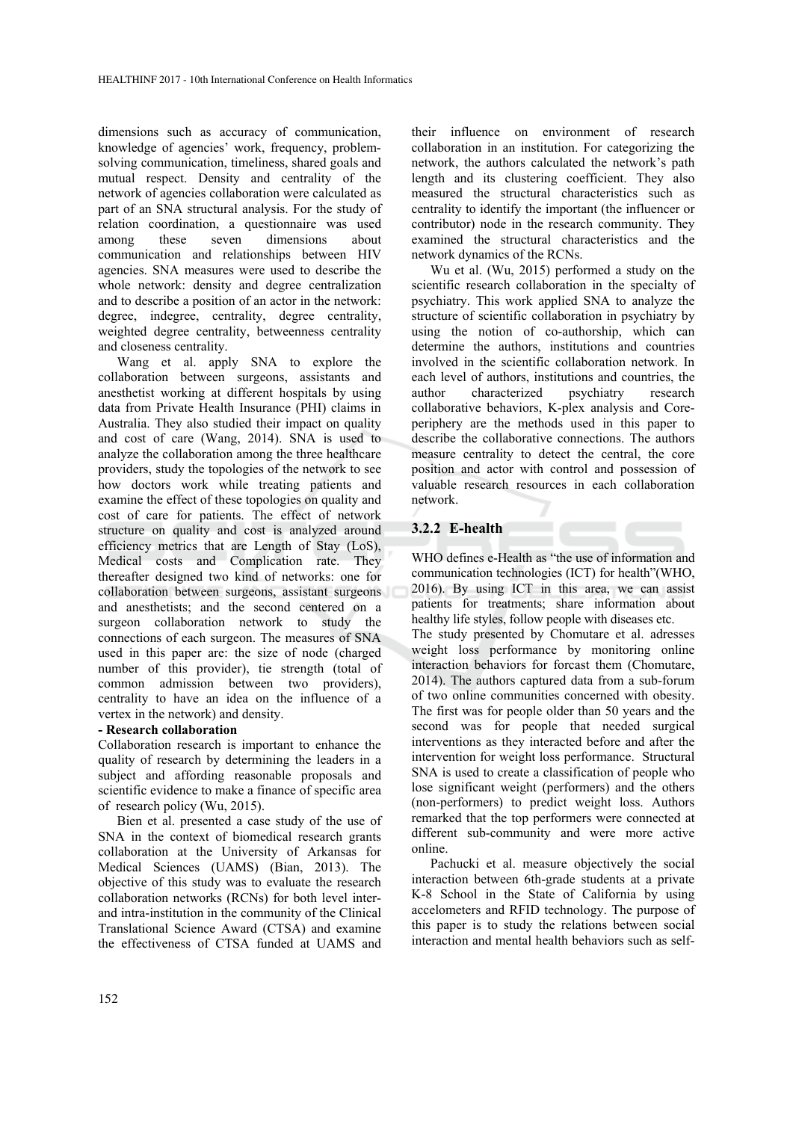dimensions such as accuracy of communication, knowledge of agencies' work, frequency, problemsolving communication, timeliness, shared goals and mutual respect. Density and centrality of the network of agencies collaboration were calculated as part of an SNA structural analysis. For the study of relation coordination, a questionnaire was used among these seven dimensions about communication and relationships between HIV agencies. SNA measures were used to describe the whole network: density and degree centralization and to describe a position of an actor in the network: degree, indegree, centrality, degree centrality, weighted degree centrality, betweenness centrality and closeness centrality.

Wang et al. apply SNA to explore the collaboration between surgeons, assistants and anesthetist working at different hospitals by using data from Private Health Insurance (PHI) claims in Australia. They also studied their impact on quality and cost of care (Wang, 2014). SNA is used to analyze the collaboration among the three healthcare providers, study the topologies of the network to see how doctors work while treating patients and examine the effect of these topologies on quality and cost of care for patients. The effect of network structure on quality and cost is analyzed around efficiency metrics that are Length of Stay (LoS), Medical costs and Complication rate. They thereafter designed two kind of networks: one for collaboration between surgeons, assistant surgeons and anesthetists; and the second centered on a surgeon collaboration network to study the connections of each surgeon. The measures of SNA used in this paper are: the size of node (charged number of this provider), tie strength (total of common admission between two providers), centrality to have an idea on the influence of a vertex in the network) and density.

#### **- Research collaboration**

Collaboration research is important to enhance the quality of research by determining the leaders in a subject and affording reasonable proposals and scientific evidence to make a finance of specific area of research policy (Wu, 2015).

Bien et al. presented a case study of the use of SNA in the context of biomedical research grants collaboration at the University of Arkansas for Medical Sciences (UAMS) (Bian, 2013). The objective of this study was to evaluate the research collaboration networks (RCNs) for both level interand intra-institution in the community of the Clinical Translational Science Award (CTSA) and examine the effectiveness of CTSA funded at UAMS and

their influence on environment of research collaboration in an institution. For categorizing the network, the authors calculated the network's path length and its clustering coefficient. They also measured the structural characteristics such as centrality to identify the important (the influencer or contributor) node in the research community. They examined the structural characteristics and the network dynamics of the RCNs.

Wu et al. (Wu, 2015) performed a study on the scientific research collaboration in the specialty of psychiatry. This work applied SNA to analyze the structure of scientific collaboration in psychiatry by using the notion of co-authorship, which can determine the authors, institutions and countries involved in the scientific collaboration network. In each level of authors, institutions and countries, the author characterized psychiatry research collaborative behaviors, K-plex analysis and Coreperiphery are the methods used in this paper to describe the collaborative connections. The authors measure centrality to detect the central, the core position and actor with control and possession of valuable research resources in each collaboration network.

## **3.2.2 E-health**

WHO defines e-Health as "the use of information and communication technologies (ICT) for health"(WHO, 2016). By using ICT in this area, we can assist patients for treatments; share information about healthy life styles, follow people with diseases etc. The study presented by Chomutare et al. adresses weight loss performance by monitoring online interaction behaviors for forcast them (Chomutare, 2014). The authors captured data from a sub-forum of two online communities concerned with obesity. The first was for people older than 50 years and the second was for people that needed surgical interventions as they interacted before and after the intervention for weight loss performance. Structural SNA is used to create a classification of people who lose significant weight (performers) and the others (non-performers) to predict weight loss. Authors remarked that the top performers were connected at different sub-community and were more active online.

Pachucki et al. measure objectively the social interaction between 6th-grade students at a private K-8 School in the State of California by using accelometers and RFID technology. The purpose of this paper is to study the relations between social interaction and mental health behaviors such as self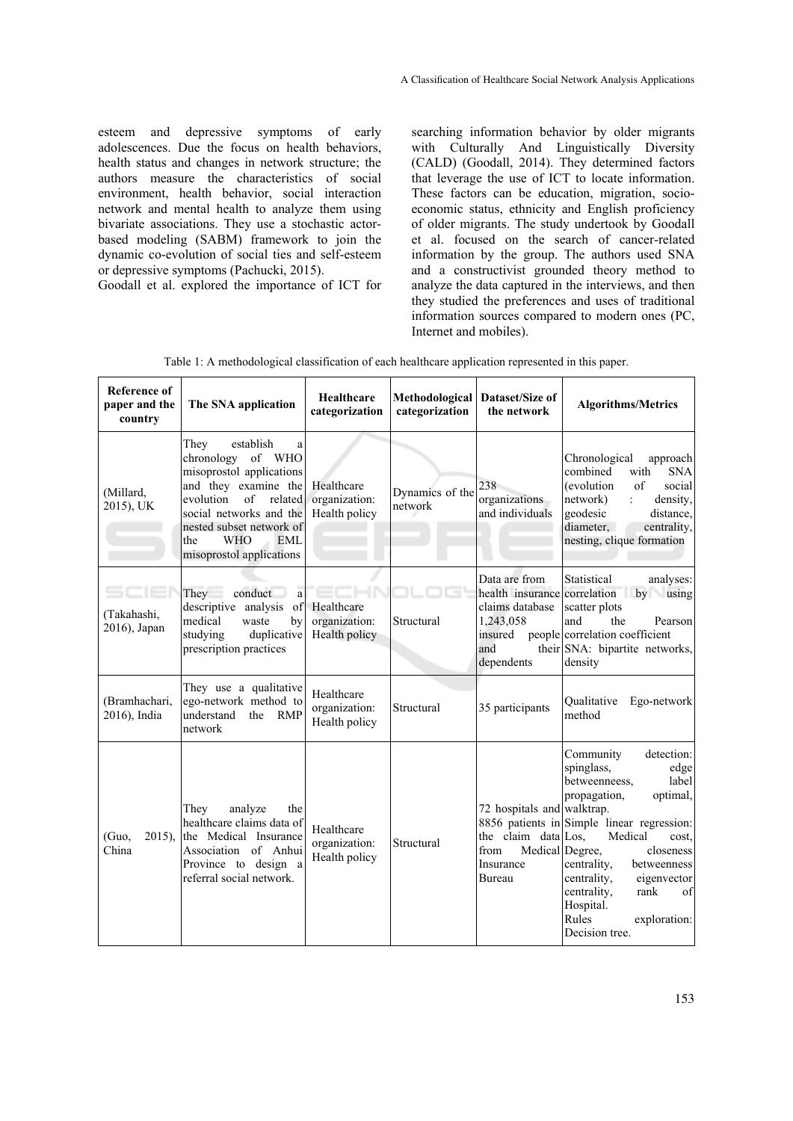esteem and depressive symptoms of early adolescences. Due the focus on health behaviors, health status and changes in network structure; the authors measure the characteristics of social environment, health behavior, social interaction network and mental health to analyze them using bivariate associations. They use a stochastic actorbased modeling (SABM) framework to join the dynamic co-evolution of social ties and self-esteem or depressive symptoms (Pachucki, 2015).

Goodall et al. explored the importance of ICT for

searching information behavior by older migrants with Culturally And Linguistically Diversity (CALD) (Goodall, 2014). They determined factors that leverage the use of ICT to locate information. These factors can be education, migration, socioeconomic status, ethnicity and English proficiency of older migrants. The study undertook by Goodall et al. focused on the search of cancer-related information by the group. The authors used SNA and a constructivist grounded theory method to analyze the data captured in the interviews, and then they studied the preferences and uses of traditional information sources compared to modern ones (PC, Internet and mobiles).

| Table 1: A methodological classification of each healthcare application represented in this paper. |  |
|----------------------------------------------------------------------------------------------------|--|
|----------------------------------------------------------------------------------------------------|--|

| <b>Reference of</b><br>paper and the<br>country | The SNA application                                                                                                                                                                                                                                     | Healthcare<br>categorization                 | Methodological<br>categorization | Dataset/Size of<br>the network                                                                                | <b>Algorithms/Metrics</b>                                                                                                                                                                                                                                                                                                                              |
|-------------------------------------------------|---------------------------------------------------------------------------------------------------------------------------------------------------------------------------------------------------------------------------------------------------------|----------------------------------------------|----------------------------------|---------------------------------------------------------------------------------------------------------------|--------------------------------------------------------------------------------------------------------------------------------------------------------------------------------------------------------------------------------------------------------------------------------------------------------------------------------------------------------|
| (Millard,<br>2015), UK                          | They<br>establish<br>a<br>chronology<br>of WHO<br>misoprostol applications<br>and they examine the<br>$\sigma$ f<br>related<br>evolution<br>social networks and the<br>nested subset network of<br><b>WHO</b><br>the<br>EML<br>misoprostol applications | Healthcare<br>organization:<br>Health policy | Dynamics of the<br>network       | 238<br>organizations<br>and individuals                                                                       | Chronological<br>approach<br>combined<br><b>SNA</b><br>with<br><i>(evolution)</i><br>$\sigma$ f<br>social<br>density,<br>network)<br>÷<br>geodesic<br>distance,<br>diameter,<br>centrality,<br>nesting, clique formation                                                                                                                               |
| (Takahashi,<br>2016), Japan                     | They<br>conduct<br>a<br>descriptive analysis<br>of<br>medical<br>waste<br>bv<br>studying<br>duplicative<br>prescription practices                                                                                                                       | Healthcare<br>organization:<br>Health policy | Structural                       | Data are from<br>health insurance correlation<br>claims database<br>1,243,058<br>insured<br>and<br>dependents | Statistical<br>analyses:<br>by<br>using<br>scatter plots<br>and<br>the<br>Pearson<br>people correlation coefficient<br>their SNA: bipartite networks,<br>density                                                                                                                                                                                       |
| (Bramhachari,<br>2016), India                   | They use a qualitative<br>ego-network method to<br>understand<br>the<br><b>RMP</b><br>network                                                                                                                                                           | Healthcare<br>organization:<br>Health policy | Structural                       | 35 participants                                                                                               | Oualitative<br>Ego-network<br>method                                                                                                                                                                                                                                                                                                                   |
| $2015$ ).<br>(Guo,<br>China                     | analyze<br>They<br>the<br>healthcare claims data of<br>the Medical Insurance<br>Association of Anhui<br>Province to design a<br>referral social network.                                                                                                | Healthcare<br>organization:<br>Health policy | Structural                       | 72 hospitals and walktrap.<br>the claim data Los,<br>from<br>Insurance<br>Bureau                              | Community<br>detection:<br>spinglass,<br>edge<br>betweenneess,<br>label<br>propagation,<br>optimal,<br>8856 patients in Simple linear regression:<br>Medical<br>cost.<br>Medical Degree,<br>closeness<br>centrality,<br>betweenness<br>centrality,<br>eigenvector<br>centrality,<br>rank<br>of<br>Hospital.<br>Rules<br>exploration:<br>Decision tree. |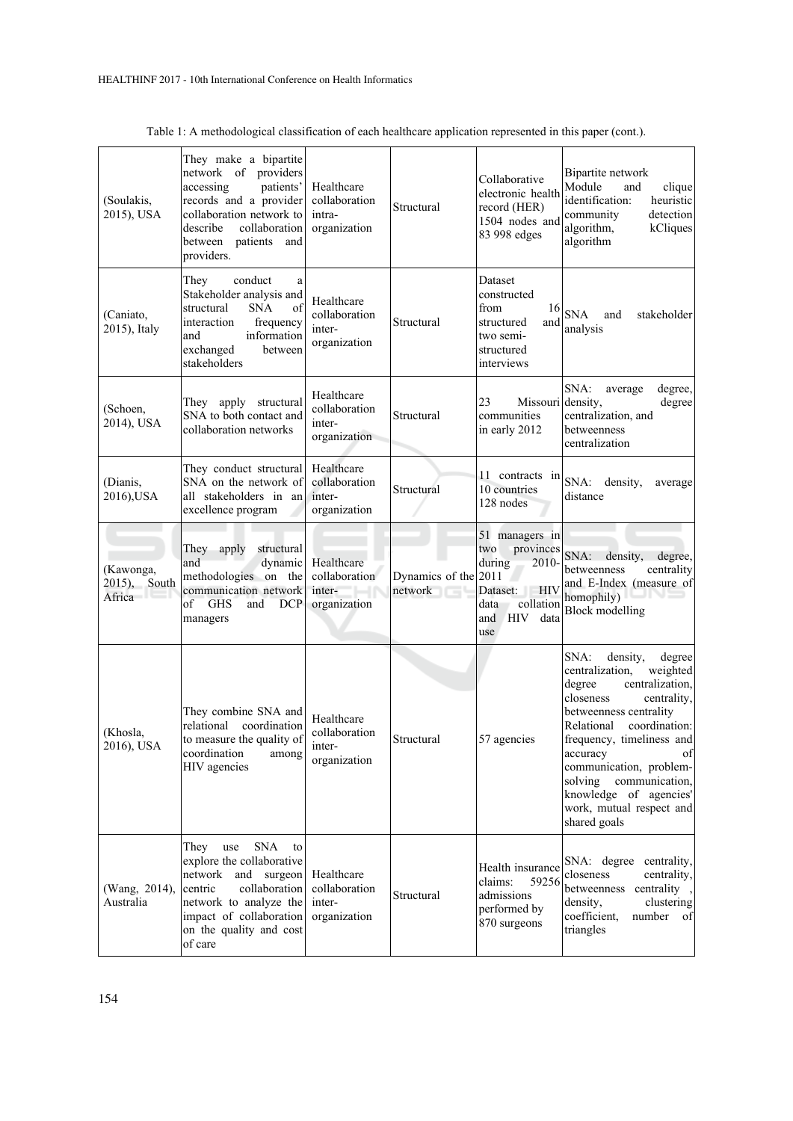| (Soulakis,<br>2015), USA            | They make a bipartite<br>network of providers<br>patients'<br>accessing<br>records and a provider<br>collaboration network to<br>describe<br>collaboration<br>between<br>patients<br>and<br>providers.     | Healthcare<br>collaboration<br>intra-<br>organization | Structural                                | Collaborative<br>electronic health<br>record (HER)<br>1504 nodes and<br>83 998 edges                                           | Bipartite network<br>Module<br>and<br>clique<br>identification:<br>heuristic<br>community<br>detection<br>algorithm,<br>kCliques<br>algorithm                                                                                                                                                                                                         |
|-------------------------------------|------------------------------------------------------------------------------------------------------------------------------------------------------------------------------------------------------------|-------------------------------------------------------|-------------------------------------------|--------------------------------------------------------------------------------------------------------------------------------|-------------------------------------------------------------------------------------------------------------------------------------------------------------------------------------------------------------------------------------------------------------------------------------------------------------------------------------------------------|
| (Caniato,<br>2015), Italy           | conduct<br>They<br>a<br>Stakeholder analysis and<br><b>SNA</b><br>structural<br>of<br>interaction<br>frequency<br>and<br>information<br>exchanged<br>between<br>stakeholders                               | Healthcare<br>collaboration<br>inter-<br>organization | Structural                                | Dataset<br>constructed<br>from<br>16<br>structured<br>and<br>two semi-<br>structured<br>interviews                             | <b>SNA</b><br>and<br>stakeholder<br>analysis                                                                                                                                                                                                                                                                                                          |
| (Schoen,<br>2014), USA              | They apply structural<br>SNA to both contact and<br>collaboration networks                                                                                                                                 | Healthcare<br>collaboration<br>inter-<br>organization | Structural                                | 23<br>Missouri<br>communities<br>in early 2012                                                                                 | SNA:<br>degree,<br>average<br>density,<br>degree<br>centralization, and<br>betweenness<br>centralization                                                                                                                                                                                                                                              |
| (Dianis,<br>2016), USA              | They conduct structural<br>SNA on the network of<br>all stakeholders in an<br>excellence program                                                                                                           | Healthcare<br>collaboration<br>inter-<br>organization | Structural                                | 11 contracts in<br>10 countries<br>128 nodes                                                                                   | SNA:<br>density,<br>average<br>distance                                                                                                                                                                                                                                                                                                               |
| (Kawonga,<br>2015), South<br>Africa | They apply<br>structural<br>and<br>dynamic<br>methodologies on the<br>communication network<br><b>GHS</b><br><b>DCP</b><br>of<br>and<br>managers                                                           | Healthcare<br>collaboration<br>inter-<br>organization | Dynamics of the 2011<br>network<br>11 – L | 51 managers in<br>provinces<br>two<br>during<br>2010-<br>Dataset: HIV<br>data<br>collation<br><b>HIV</b><br>and<br>data<br>use | SNA:<br>density,<br>degree,<br>betweenness<br>centrality<br>and E-Index (measure of<br>homophily)<br><b>Block</b> modelling                                                                                                                                                                                                                           |
| (Khosla,<br>2016), USA              | They combine SNA and<br>relational coordination<br>to measure the quality of<br>coordination<br>among<br>HIV agencies                                                                                      | Healthcare<br>collaboration<br>inter-<br>organization | Structural                                | 57 agencies                                                                                                                    | SNA:<br>density,<br>degree<br>centralization,<br>weighted<br>degree<br>centralization,<br>closeness<br>centrality,<br>betweenness centrality<br>coordination:<br>Relational<br>frequency, timeliness and<br>of<br>accuracy<br>communication, problem-<br>solving communication,<br>knowledge of agencies'<br>work, mutual respect and<br>shared goals |
| (Wang, 2014),<br>Australia          | <b>SNA</b><br>They<br>use<br>to<br>explore the collaborative<br>network and surgeon<br>collaboration<br>centric<br>network to analyze the<br>impact of collaboration<br>on the quality and cost<br>of care | Healthcare<br>collaboration<br>inter-<br>organization | Structural                                | Health insurance<br>59256<br>claims:<br>admissions<br>performed by<br>870 surgeons                                             | SNA: degree centrality,<br>closeness<br>centrality,<br>betweenness centrality,<br>clustering<br>density,<br>coefficient,<br>number of<br>triangles                                                                                                                                                                                                    |

| Table 1: A methodological classification of each healthcare application represented in this paper (cont.). |  |  |  |
|------------------------------------------------------------------------------------------------------------|--|--|--|
|                                                                                                            |  |  |  |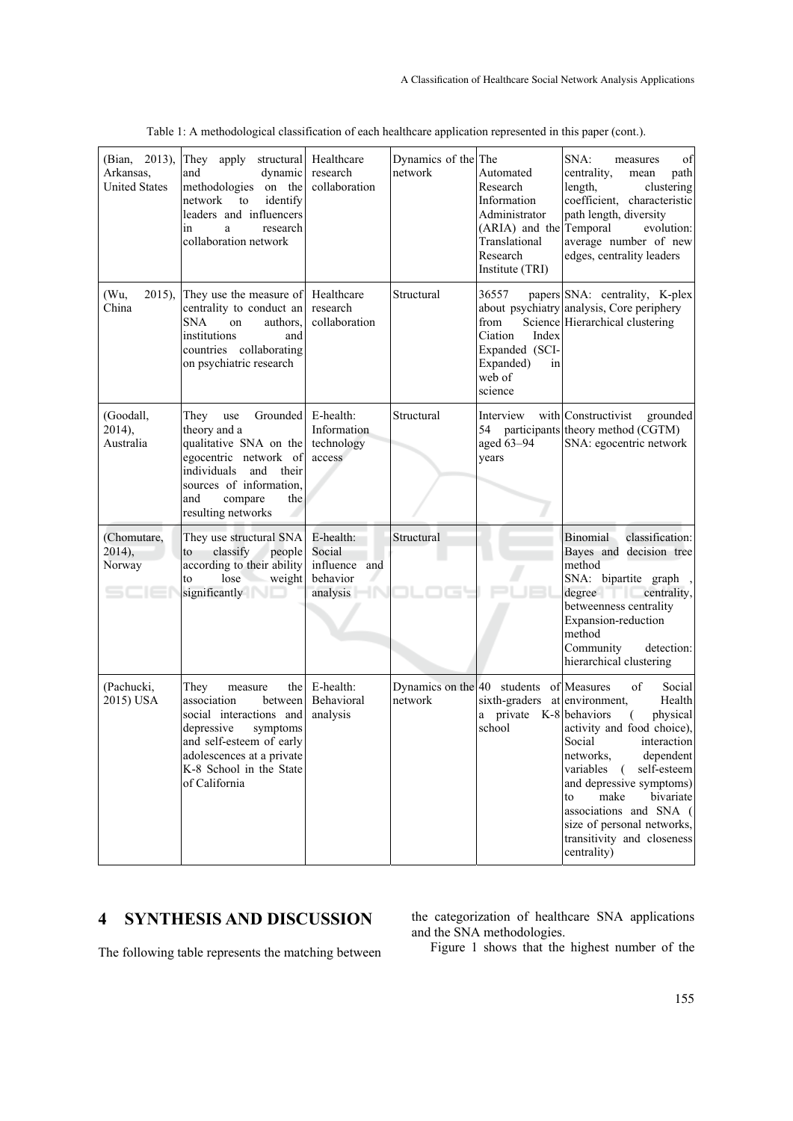| (Bian, 2013),<br>Arkansas,<br><b>United States</b> | They apply structural<br>dynamic<br>and<br>methodologies on the<br>network<br>to<br>identify<br>leaders and influencers<br>research<br>in<br>a<br>collaboration network                                    | Healthcare<br>research<br>collaboration                      | Dynamics of the The<br>network | Automated<br>Research<br>Information<br>Administrator<br>(ARIA) and the<br>Translational<br>Research<br>Institute (TRI) | SNA:<br>of<br>measures<br>centrality,<br>path<br>mean<br>length,<br>clustering<br>coefficient, characteristic<br>path length, diversity<br>Temporal<br>evolution:<br>average number of new<br>edges, centrality leaders                                                                                          |
|----------------------------------------------------|------------------------------------------------------------------------------------------------------------------------------------------------------------------------------------------------------------|--------------------------------------------------------------|--------------------------------|-------------------------------------------------------------------------------------------------------------------------|------------------------------------------------------------------------------------------------------------------------------------------------------------------------------------------------------------------------------------------------------------------------------------------------------------------|
| (Wu,<br>$2015$ ).<br>China                         | They use the measure of<br>centrality to conduct an<br><b>SNA</b><br>authors.<br>on<br>institutions<br>and<br>countries collaborating<br>on psychiatric research                                           | Healthcare<br>research<br>collaboration                      | Structural                     | 36557<br>from<br>Ciation<br>Index<br>Expanded (SCI-<br>Expanded)<br>in<br>web of<br>science                             | papers SNA: centrality, K-plex<br>about psychiatry analysis, Core periphery<br>Science Hierarchical clustering                                                                                                                                                                                                   |
| (Goodall,<br>2014),<br>Australia                   | Grounded<br>They<br>use<br>theory and a<br>qualitative SNA on the<br>egocentric network of<br>individuals<br>and<br>their<br>sources of information,<br>and<br>compare<br>the<br>resulting networks        | E-health:<br>Information<br>technology<br>access             | Structural                     | Interview<br>aged 63-94<br>years                                                                                        | with Constructivist<br>grounded<br>54 participants theory method (CGTM)<br>SNA: egocentric network                                                                                                                                                                                                               |
| (Chomutare,<br>2014,<br>Norway                     | They use structural SNA<br>classify<br>people<br>to<br>according to their ability<br>lose<br>weight<br>to<br>significantly                                                                                 | E-health:<br>Social<br>influence and<br>behavior<br>analysis | Structural                     |                                                                                                                         | Binomial<br>classification:<br>Bayes and decision tree<br>method<br>SNA: bipartite graph,<br>degree centrality,<br>betweenness centrality<br>Expansion-reduction<br>method<br>Community<br>detection:<br>hierarchical clustering                                                                                 |
| (Pachucki,<br>2015) USA                            | They<br>the<br>measure<br>association<br>between<br>social interactions and<br>depressive<br>symptoms<br>and self-esteem of early<br>adolescences at a private<br>K-8 School in the State<br>of California | E-health:<br>Behavioral<br>analysis                          | network                        | Dynamics on the $ 40$ students of Measures<br>sixth-graders at environment,<br>private K-8 behaviors<br>a<br>school     | of<br>Social<br>Health<br>physical<br>€.<br>activity and food choice),<br>Social interaction<br>dependent<br>networks,<br>variables (<br>self-esteem<br>and depressive symptoms)<br>make<br>bivariate<br>to<br>associations and SNA (<br>size of personal networks,<br>transitivity and closeness<br>centrality) |

Table 1: A methodological classification of each healthcare application represented in this paper (cont.).

# **4 SYNTHESIS AND DISCUSSION**

The following table represents the matching between

the categorization of healthcare SNA applications and the SNA methodologies.

Figure 1 shows that the highest number of the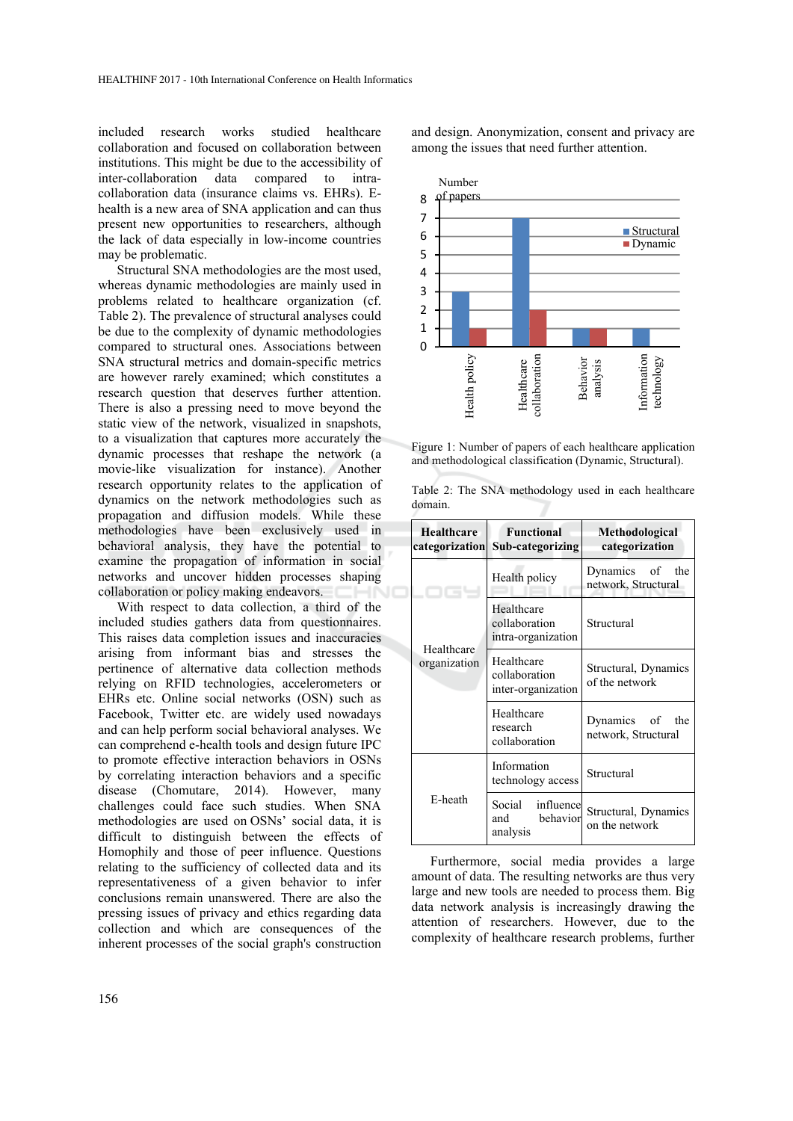included research works studied healthcare collaboration and focused on collaboration between institutions. This might be due to the accessibility of inter-collaboration data compared to intracollaboration data (insurance claims vs. EHRs). Ehealth is a new area of SNA application and can thus present new opportunities to researchers, although the lack of data especially in low-income countries may be problematic.

Structural SNA methodologies are the most used, whereas dynamic methodologies are mainly used in problems related to healthcare organization (cf. Table 2). The prevalence of structural analyses could be due to the complexity of dynamic methodologies compared to structural ones. Associations between SNA structural metrics and domain-specific metrics are however rarely examined; which constitutes a research question that deserves further attention. There is also a pressing need to move beyond the static view of the network, visualized in snapshots, to a visualization that captures more accurately the dynamic processes that reshape the network (a movie-like visualization for instance). Another research opportunity relates to the application of dynamics on the network methodologies such as propagation and diffusion models. While these methodologies have been exclusively used in behavioral analysis, they have the potential to examine the propagation of information in social networks and uncover hidden processes shaping collaboration or policy making endeavors.

With respect to data collection, a third of the included studies gathers data from questionnaires. This raises data completion issues and inaccuracies arising from informant bias and stresses the pertinence of alternative data collection methods relying on RFID technologies, accelerometers or EHRs etc. Online social networks (OSN) such as Facebook, Twitter etc. are widely used nowadays and can help perform social behavioral analyses. We can comprehend e-health tools and design future IPC to promote effective interaction behaviors in OSNs by correlating interaction behaviors and a specific disease (Chomutare, 2014). However, many challenges could face such studies. When SNA methodologies are used on OSNs' social data, it is difficult to distinguish between the effects of Homophily and those of peer influence. Questions relating to the sufficiency of collected data and its representativeness of a given behavior to infer conclusions remain unanswered. There are also the pressing issues of privacy and ethics regarding data collection and which are consequences of the inherent processes of the social graph's construction

and design. Anonymization, consent and privacy are among the issues that need further attention.



Figure 1: Number of papers of each healthcare application and methodological classification (Dynamic, Structural).

| Table 2: The SNA methodology used in each healthcare |  |  |  |  |  |
|------------------------------------------------------|--|--|--|--|--|
| domain.                                              |  |  |  |  |  |

| Healthcare                 | <b>Functional</b><br>categorization Sub-categorizing | Methodological<br>categorization       |  |  |
|----------------------------|------------------------------------------------------|----------------------------------------|--|--|
| Healthcare<br>organization | Health policy                                        | Dynamics of the<br>network, Structural |  |  |
|                            | Healthcare<br>collaboration<br>intra-organization    | Structural                             |  |  |
|                            | Healthcare<br>collaboration<br>inter-organization    | Structural, Dynamics<br>of the network |  |  |
|                            | Healthcare<br>research<br>collaboration              | Dynamics of the<br>network, Structural |  |  |
| E-heath                    | Information<br>technology access                     | Structural                             |  |  |
|                            | Social influence<br>behavior<br>and<br>analysis      | Structural, Dynamics<br>on the network |  |  |

Furthermore, social media provides a large amount of data. The resulting networks are thus very large and new tools are needed to process them. Big data network analysis is increasingly drawing the attention of researchers. However, due to the complexity of healthcare research problems, further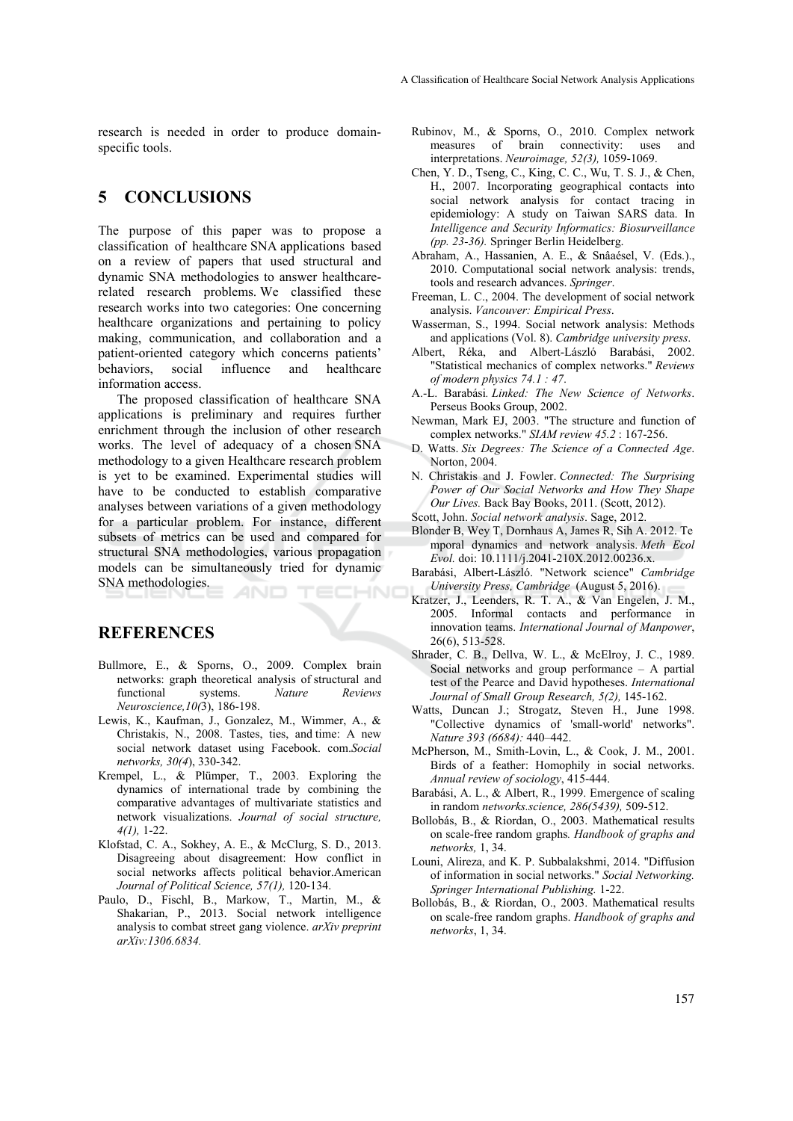research is needed in order to produce domainspecific tools.

# **5 CONCLUSIONS**

The purpose of this paper was to propose a classification of healthcare SNA applications based on a review of papers that used structural and dynamic SNA methodologies to answer healthcarerelated research problems. We classified these research works into two categories: One concerning healthcare organizations and pertaining to policy making, communication, and collaboration and a patient-oriented category which concerns patients' behaviors, social influence and healthcare information access.

The proposed classification of healthcare SNA applications is preliminary and requires further enrichment through the inclusion of other research works. The level of adequacy of a chosen SNA methodology to a given Healthcare research problem is yet to be examined. Experimental studies will have to be conducted to establish comparative analyses between variations of a given methodology for a particular problem. For instance, different subsets of metrics can be used and compared for structural SNA methodologies, various propagation models can be simultaneously tried for dynamic SNA methodologies. HNO

**REFERENCES** 

- Bullmore, E., & Sporns, O., 2009. Complex brain networks: graph theoretical analysis of structural and functional systems. *Nature Reviews Neuroscience,10(*3), 186-198.
- Lewis, K., Kaufman, J., Gonzalez, M., Wimmer, A., & Christakis, N., 2008. Tastes, ties, and time: A new social network dataset using Facebook. com.*Social networks, 30(4*), 330-342.
- Krempel, L., & Plümper, T., 2003. Exploring the dynamics of international trade by combining the comparative advantages of multivariate statistics and network visualizations. *Journal of social structure, 4(1),* 1-22.
- Klofstad, C. A., Sokhey, A. E., & McClurg, S. D., 2013. Disagreeing about disagreement: How conflict in social networks affects political behavior.American *Journal of Political Science, 57(1),* 120-134.
- Paulo, D., Fischl, B., Markow, T., Martin, M., & Shakarian, P., 2013. Social network intelligence analysis to combat street gang violence. *arXiv preprint arXiv:1306.6834.*
- Rubinov, M., & Sporns, O., 2010. Complex network measures of brain connectivity: uses and interpretations. *Neuroimage, 52(3),* 1059-1069.
- Chen, Y. D., Tseng, C., King, C. C., Wu, T. S. J., & Chen, H., 2007. Incorporating geographical contacts into social network analysis for contact tracing in epidemiology: A study on Taiwan SARS data. In *Intelligence and Security Informatics: Biosurveillance (pp. 23-36).* Springer Berlin Heidelberg.
- Abraham, A., Hassanien, A. E., & Snâaésel, V. (Eds.)., 2010. Computational social network analysis: trends, tools and research advances. *Springer*.
- Freeman, L. C., 2004. The development of social network analysis. *Vancouver: Empirical Press*.
- Wasserman, S., 1994. Social network analysis: Methods and applications (Vol. 8). *Cambridge university press*.
- Albert, Réka, and Albert-László Barabási, 2002. "Statistical mechanics of complex networks." *Reviews of modern physics 74.1 : 47*.
- A.-L. Barabási*. Linked: The New Science of Networks*. Perseus Books Group, 2002.
- Newman, Mark EJ, 2003. "The structure and function of complex networks." *SIAM review 45.2* : 167-256.
- D. Watts. *Six Degrees: The Science of a Connected Age*. Norton, 2004.
- N. Christakis and J. Fowler. *Connected: The Surprising Power of Our Social Networks and How They Shape Our Lives.* Back Bay Books, 2011. (Scott, 2012).
- Scott, John. *Social network analysis*. Sage, 2012.
- Blonder B, Wey T, Dornhaus A, James R, Sih A. 2012. Te mporal dynamics and network analysis. *Meth Ecol Evol.* doi: 10.1111/j.2041-210X.2012.00236.x.
- Barabási, Albert-László. "Network science" *Cambridge University Press, Cambridge* (August 5, 2016).
- Kratzer, J., Leenders, R. T. A., & Van Engelen, J. M., 2005. Informal contacts and performance in innovation teams. *International Journal of Manpower*, 26(6), 513-528.
- Shrader, C. B., Dellva, W. L., & McElroy, J. C., 1989. Social networks and group performance – A partial test of the Pearce and David hypotheses. *International Journal of Small Group Research, 5(2),* 145-162.
- Watts, Duncan J.; Strogatz, Steven H., June 1998. "Collective dynamics of 'small-world' networks". *Nature 393 (6684):* 440–442.
- McPherson, M., Smith-Lovin, L., & Cook, J. M., 2001. Birds of a feather: Homophily in social networks. *Annual review of sociology*, 415-444.
- Barabási, A. L., & Albert, R., 1999. Emergence of scaling in random *networks.science, 286(5439),* 509-512.
- Bollobás, B., & Riordan, O., 2003. Mathematical results on scale-free random graphs*. Handbook of graphs and networks,* 1, 34.
- Louni, Alireza, and K. P. Subbalakshmi, 2014. "Diffusion of information in social networks." *Social Networking. Springer International Publishing.* 1-22.
- Bollobás, B., & Riordan, O., 2003. Mathematical results on scale-free random graphs. *Handbook of graphs and networks*, 1, 34.